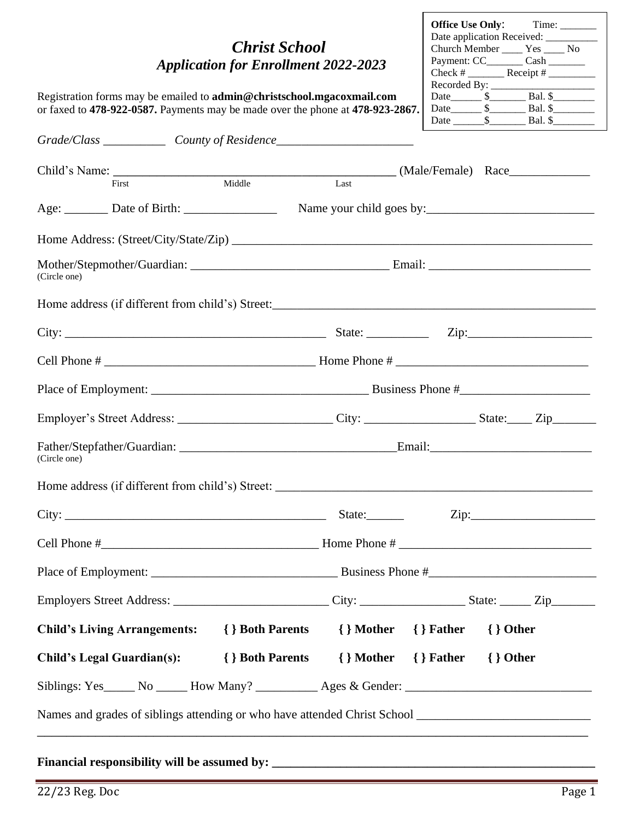#### *Christ School Application for Enrollment 2022-2023*

| <b>Office Use Only:</b> | Time:                              |  |
|-------------------------|------------------------------------|--|
|                         | Date application Received:         |  |
|                         | Church Member ______ Yes _____ No  |  |
|                         | Payment: CC_________ Cash ________ |  |
|                         |                                    |  |
| Recorded By: $\_\_$     |                                    |  |
| Date \$                 | $Bal.$ \$                          |  |
|                         | Date \$ Bal. \$                    |  |
| Date \$                 | Bal. \$                            |  |

Г

Registration forms may be emailed to **[admin@christschool.mgacoxmail.com](mailto:admin@christschool.mgacoxmail.com)** or faxed to **478-922-0587.** Payments may be made over the phone at **478-923-2867.**

|              | Grade/Class _______________ County of Residence_________________________________  |                                                  |      |              |
|--------------|-----------------------------------------------------------------------------------|--------------------------------------------------|------|--------------|
|              |                                                                                   |                                                  |      |              |
|              | First                                                                             | Middle                                           | Last |              |
|              |                                                                                   |                                                  |      |              |
|              |                                                                                   |                                                  |      |              |
| (Circle one) |                                                                                   |                                                  |      |              |
|              |                                                                                   |                                                  |      |              |
|              |                                                                                   |                                                  |      |              |
|              |                                                                                   |                                                  |      |              |
|              |                                                                                   |                                                  |      |              |
|              |                                                                                   |                                                  |      |              |
| (Circle one) |                                                                                   |                                                  |      |              |
|              |                                                                                   |                                                  |      |              |
|              |                                                                                   |                                                  |      |              |
|              |                                                                                   |                                                  |      |              |
|              |                                                                                   |                                                  |      |              |
|              |                                                                                   |                                                  |      |              |
|              | Child's Living Arrangements: { } Both Parents { } Mother { } Father               |                                                  |      | $\{\}$ Other |
|              | <b>Child's Legal Guardian(s):</b>                                                 | { } Both Parents { } Mother { } Father { } Other |      |              |
|              | Siblings: Yes_____ No _____ How Many? _________ Ages & Gender: __________________ |                                                  |      |              |
|              |                                                                                   |                                                  |      |              |

#### Financial responsibility will be assumed by: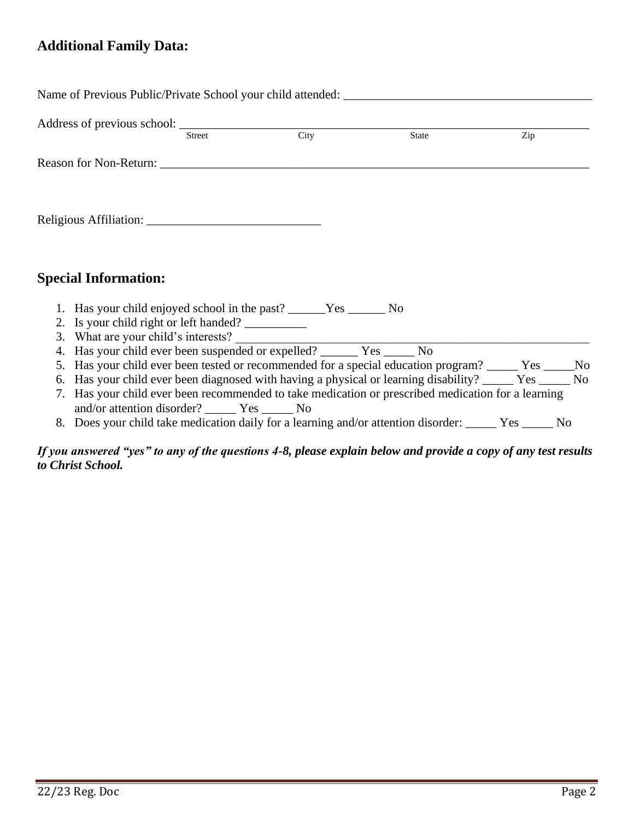#### **Additional Family Data:**

|                                                                               |        |                            | Name of Previous Public/Private School your child attended:                                                                                                                                                                      |     |  |
|-------------------------------------------------------------------------------|--------|----------------------------|----------------------------------------------------------------------------------------------------------------------------------------------------------------------------------------------------------------------------------|-----|--|
|                                                                               | Street | $\overline{\mathrm{City}}$ | State                                                                                                                                                                                                                            | Zip |  |
| Reason for Non-Return:                                                        |        |                            |                                                                                                                                                                                                                                  |     |  |
|                                                                               |        |                            |                                                                                                                                                                                                                                  |     |  |
|                                                                               |        |                            |                                                                                                                                                                                                                                  |     |  |
|                                                                               |        |                            |                                                                                                                                                                                                                                  |     |  |
|                                                                               |        |                            |                                                                                                                                                                                                                                  |     |  |
| <b>Special Information:</b>                                                   |        |                            |                                                                                                                                                                                                                                  |     |  |
| 1. Has your child enjoyed school in the past? ______Yes ________No            |        |                            |                                                                                                                                                                                                                                  |     |  |
| 2. Is your child right or left handed?<br>3. What are your child's interests? |        |                            |                                                                                                                                                                                                                                  |     |  |
| 4. Has your child ever been suspended or expelled? ________ Yes _______ No    |        |                            |                                                                                                                                                                                                                                  |     |  |
|                                                                               |        |                            | 5. Has your child ever been tested or recommended for a special education program? _____ Yes _____No                                                                                                                             |     |  |
|                                                                               |        |                            | 6. Has your child ever been diagnosed with having a physical or learning disability? _____ Yes _____ No                                                                                                                          |     |  |
|                                                                               |        |                            | 7. Has your child ever been recommended to take medication or prescribed medication for a learning                                                                                                                               |     |  |
| and/or attention disorder? ________ Yes _______ No                            |        |                            | $\mathbf{r}$ and the contract of the contract of the contract of the contract of the contract of the contract of the contract of the contract of the contract of the contract of the contract of the contract of the contract of |     |  |

8. Does your child take medication daily for a learning and/or attention disorder: \_\_\_\_\_ Yes \_\_\_\_\_ No

#### *If you answered "yes" to any of the questions 4-8, please explain below and provide a copy of any test results to Christ School.*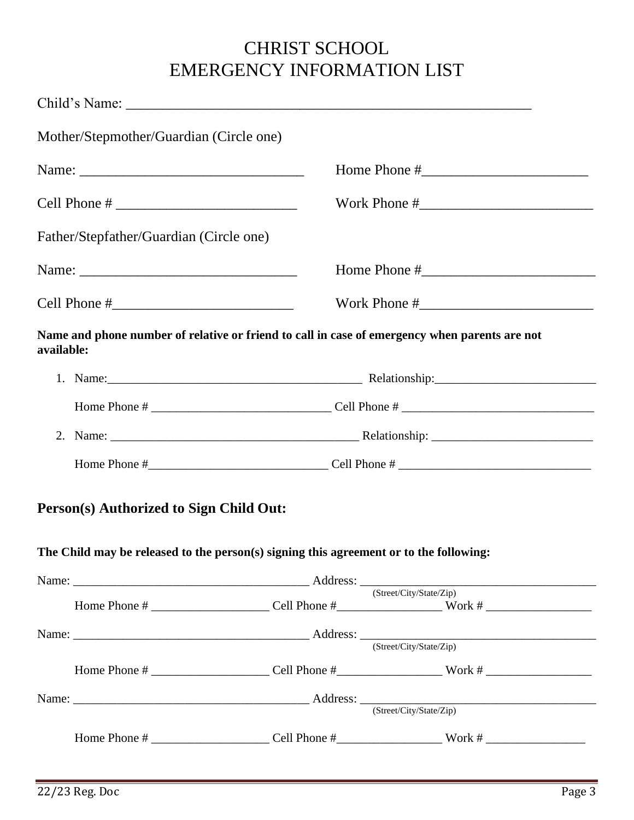# CHRIST SCHOOL EMERGENCY INFORMATION LIST

|            | Mother/Stepmother/Guardian (Circle one) |                                                                                               |                         |  |  |
|------------|-----------------------------------------|-----------------------------------------------------------------------------------------------|-------------------------|--|--|
|            |                                         |                                                                                               |                         |  |  |
|            |                                         |                                                                                               |                         |  |  |
|            | Father/Stepfather/Guardian (Circle one) |                                                                                               |                         |  |  |
|            |                                         |                                                                                               |                         |  |  |
|            |                                         |                                                                                               |                         |  |  |
| available: |                                         | Name and phone number of relative or friend to call in case of emergency when parents are not |                         |  |  |
|            |                                         |                                                                                               |                         |  |  |
|            |                                         |                                                                                               |                         |  |  |
|            |                                         |                                                                                               |                         |  |  |
|            |                                         |                                                                                               |                         |  |  |
|            | Person(s) Authorized to Sign Child Out: |                                                                                               |                         |  |  |
|            |                                         | The Child may be released to the person(s) signing this agreement or to the following:        |                         |  |  |
|            |                                         |                                                                                               | (Street/City/State/Zip) |  |  |
|            |                                         |                                                                                               |                         |  |  |
|            |                                         |                                                                                               |                         |  |  |
|            |                                         |                                                                                               |                         |  |  |
|            |                                         |                                                                                               | (Street/City/State/Zip) |  |  |
|            |                                         |                                                                                               |                         |  |  |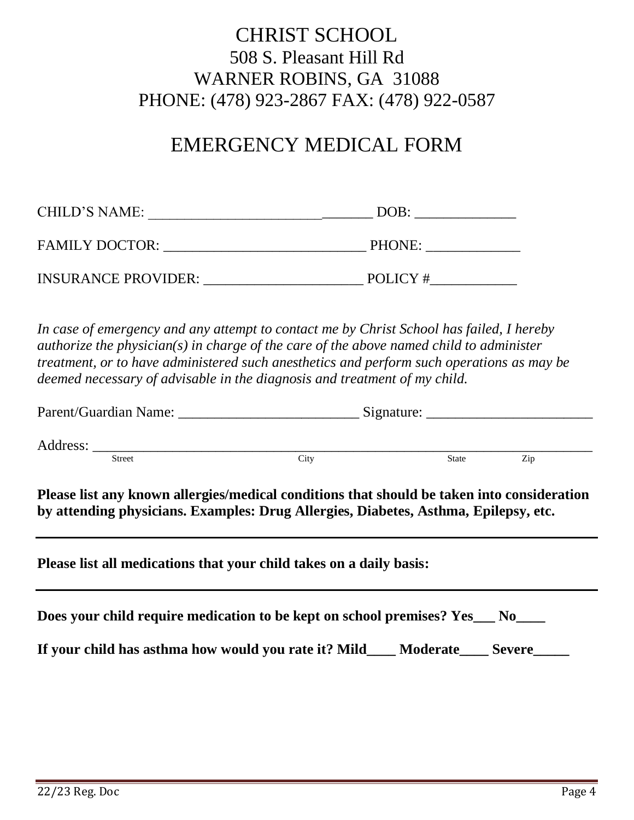## CHRIST SCHOOL 508 S. Pleasant Hill Rd WARNER ROBINS, GA 31088 PHONE: (478) 923-2867 FAX: (478) 922-0587

# EMERGENCY MEDICAL FORM

| CHILD'S NAME:              | DOB:    |
|----------------------------|---------|
| <b>FAMILY DOCTOR:</b>      | PHONE:  |
| <b>INSURANCE PROVIDER:</b> | POLICY# |

*In case of emergency and any attempt to contact me by Christ School has failed, I hereby authorize the physician(s) in charge of the care of the above named child to administer treatment, or to have administered such anesthetics and perform such operations as may be deemed necessary of advisable in the diagnosis and treatment of my child.*

| <b>Street</b> | City                                                                                                                                                                              | State | Zip |
|---------------|-----------------------------------------------------------------------------------------------------------------------------------------------------------------------------------|-------|-----|
|               | Please list any known allergies/medical conditions that should be taken into consideration<br>by attending physicians. Examples: Drug Allergies, Diabetes, Asthma, Epilepsy, etc. |       |     |
|               | Please list all medications that your child takes on a daily basis:                                                                                                               |       |     |
|               | Does your child require medication to be kept on school premises? Yes__ No___                                                                                                     |       |     |
|               | If your child has asthma how would you rate it? Mild____ Moderate____ Severe____                                                                                                  |       |     |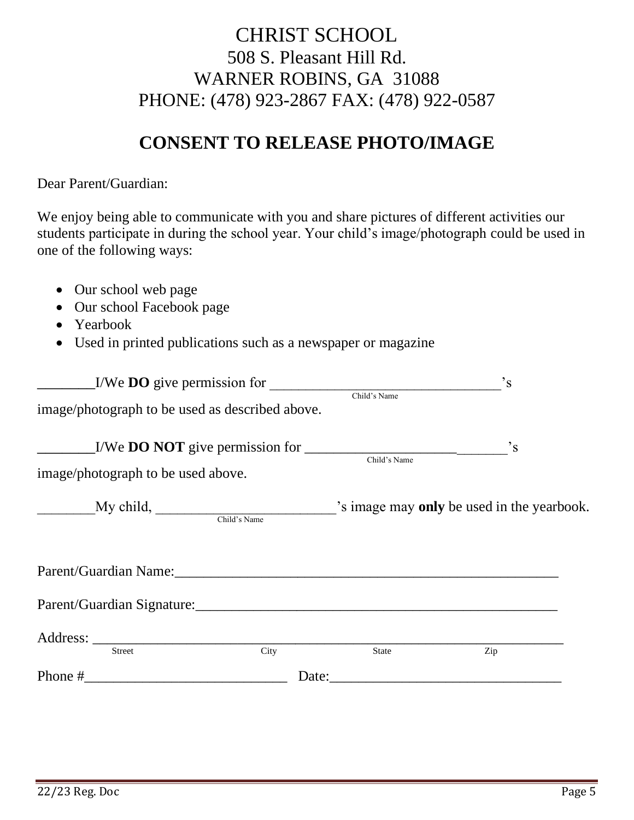## CHRIST SCHOOL 508 S. Pleasant Hill Rd. WARNER ROBINS, GA 31088 PHONE: (478) 923-2867 FAX: (478) 922-0587

## **CONSENT TO RELEASE PHOTO/IMAGE**

Dear Parent/Guardian:

We enjoy being able to communicate with you and share pictures of different activities our students participate in during the school year. Your child's image/photograph could be used in one of the following ways:

- Our school web page
- Our school Facebook page
- Yearbook
- Used in printed publications such as a newspaper or magazine

| $\text{L/We DO give permission for }$                                                            | Child's Name | $\cdot$ <sub>S</sub>                       |
|--------------------------------------------------------------------------------------------------|--------------|--------------------------------------------|
| image/photograph to be used as described above.                                                  |              |                                            |
| $\frac{1}{\sqrt{1-\frac{1}{N}}}\int_{\text{Child's Name}}$<br>image/photograph to be used above. |              | $\cdot$ <sub>S</sub>                       |
| $My child,$ Child's Name                                                                         |              | 's image may only be used in the yearbook. |
|                                                                                                  |              |                                            |
|                                                                                                  |              |                                            |
| City<br><b>Street</b>                                                                            | <b>State</b> | Zip                                        |
| Phone $\#$                                                                                       | Date:        |                                            |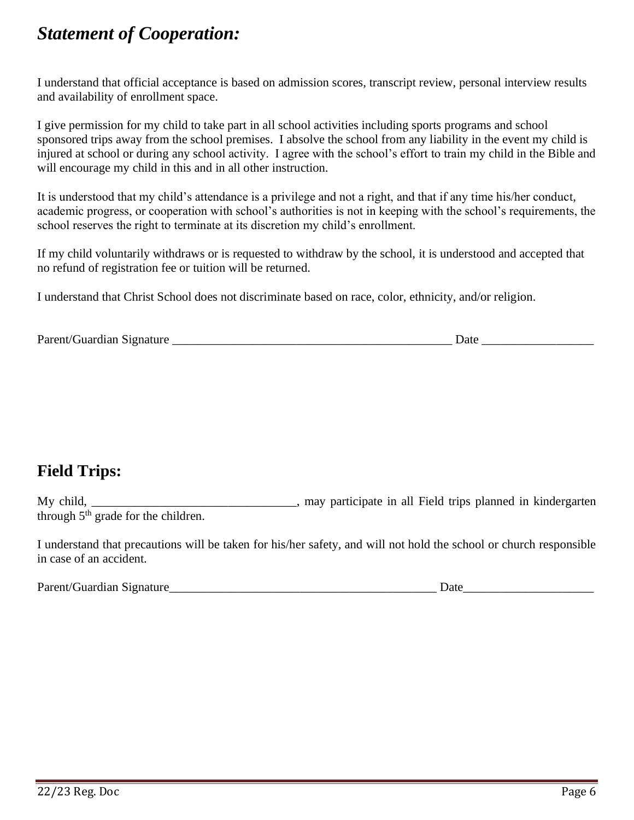# *Statement of Cooperation:*

I understand that official acceptance is based on admission scores, transcript review, personal interview results and availability of enrollment space.

I give permission for my child to take part in all school activities including sports programs and school sponsored trips away from the school premises. I absolve the school from any liability in the event my child is injured at school or during any school activity. I agree with the school's effort to train my child in the Bible and will encourage my child in this and in all other instruction.

It is understood that my child's attendance is a privilege and not a right, and that if any time his/her conduct, academic progress, or cooperation with school's authorities is not in keeping with the school's requirements, the school reserves the right to terminate at its discretion my child's enrollment.

If my child voluntarily withdraws or is requested to withdraw by the school, it is understood and accepted that no refund of registration fee or tuition will be returned.

I understand that Christ School does not discriminate based on race, color, ethnicity, and/or religion*.*

| Parent/Guardian Signature<br>Jate |  |
|-----------------------------------|--|
|-----------------------------------|--|

### **Field Trips:**

My child, the same state in all Field trips planned in kindergarten state in all Field trips planned in kindergarten through  $5<sup>th</sup>$  grade for the children.

I understand that precautions will be taken for his/her safety, and will not hold the school or church responsible in case of an accident.

| Parent/Guardian Signature | )até |
|---------------------------|------|
|---------------------------|------|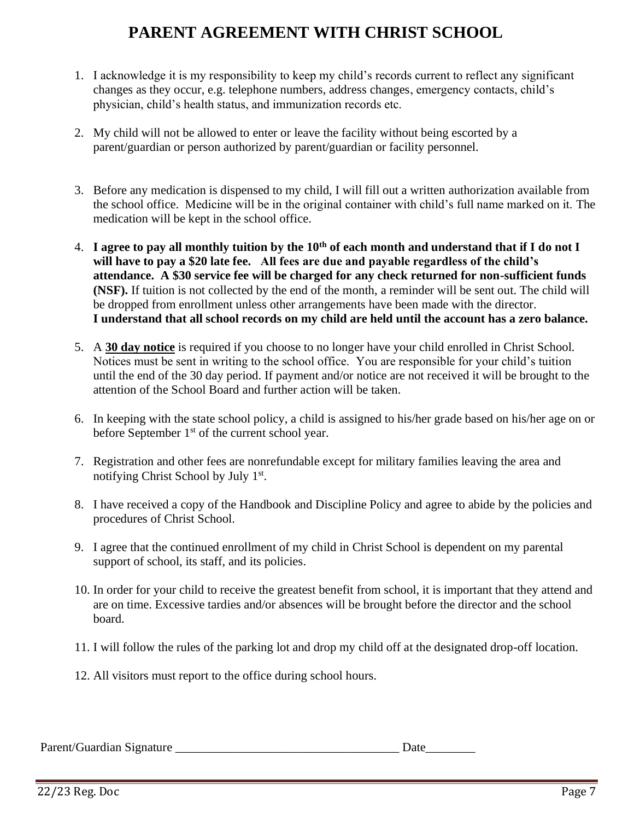### **PARENT AGREEMENT WITH CHRIST SCHOOL**

- 1. I acknowledge it is my responsibility to keep my child's records current to reflect any significant changes as they occur, e.g. telephone numbers, address changes, emergency contacts, child's physician, child's health status, and immunization records etc.
- 2. My child will not be allowed to enter or leave the facility without being escorted by a parent/guardian or person authorized by parent/guardian or facility personnel.
- 3. Before any medication is dispensed to my child, I will fill out a written authorization available from the school office. Medicine will be in the original container with child's full name marked on it. The medication will be kept in the school office.
- 4. **I agree to pay all monthly tuition by the 10th of each month and understand that if I do not I will have to pay a \$20 late fee. All fees are due and payable regardless of the child's attendance. A \$30 service fee will be charged for any check returned for non-sufficient funds (NSF).** If tuition is not collected by the end of the month, a reminder will be sent out. The child will be dropped from enrollment unless other arrangements have been made with the director. **I understand that all school records on my child are held until the account has a zero balance.**
- 5. A **30 day notice** is required if you choose to no longer have your child enrolled in Christ School. Notices must be sent in writing to the school office. You are responsible for your child's tuition until the end of the 30 day period. If payment and/or notice are not received it will be brought to the attention of the School Board and further action will be taken.
- 6. In keeping with the state school policy, a child is assigned to his/her grade based on his/her age on or before September  $1<sup>st</sup>$  of the current school year.
- 7. Registration and other fees are nonrefundable except for military families leaving the area and notifying Christ School by July 1st.
- 8. I have received a copy of the Handbook and Discipline Policy and agree to abide by the policies and procedures of Christ School.
- 9. I agree that the continued enrollment of my child in Christ School is dependent on my parental support of school, its staff, and its policies.
- 10. In order for your child to receive the greatest benefit from school, it is important that they attend and are on time. Excessive tardies and/or absences will be brought before the director and the school board.
- 11. I will follow the rules of the parking lot and drop my child off at the designated drop-off location.
- 12. All visitors must report to the office during school hours.

Parent/Guardian Signature \_\_\_\_\_\_\_\_\_\_\_\_\_\_\_\_\_\_\_\_\_\_\_\_\_\_\_\_\_\_\_\_\_\_\_\_ Date\_\_\_\_\_\_\_\_